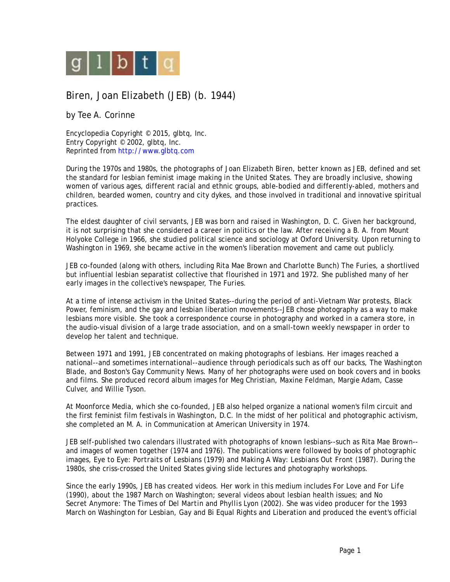

## Biren, Joan Elizabeth (JEB) (b. 1944)

by Tee A. Corinne

Encyclopedia Copyright © 2015, glbtq, Inc. Entry Copyright © 2002, glbtq, Inc. Reprinted from<http://www.glbtq.com>

During the 1970s and 1980s, the photographs of Joan Elizabeth Biren, better known as JEB, defined and set the standard for lesbian feminist image making in the United States. They are broadly inclusive, showing women of various ages, different racial and ethnic groups, able-bodied and differently-abled, mothers and children, bearded women, country and city dykes, and those involved in traditional and innovative spiritual practices.

The eldest daughter of civil servants, JEB was born and raised in Washington, D. C. Given her background, it is not surprising that she considered a career in politics or the law. After receiving a B. A. from Mount Holyoke College in 1966, she studied political science and sociology at Oxford University. Upon returning to Washington in 1969, she became active in the women's liberation movement and came out publicly.

JEB co-founded (along with others, including Rita Mae Brown and Charlotte Bunch) The Furies, a shortlived but influential lesbian separatist collective that flourished in 1971 and 1972. She published many of her early images in the collective's newspaper, *The Furies*.

At a time of intense activism in the United States--during the period of anti-Vietnam War protests, Black Power, feminism, and the gay and lesbian liberation movements--JEB chose photography as a way to make lesbians more visible. She took a correspondence course in photography and worked in a camera store, in the audio-visual division of a large trade association, and on a small-town weekly newspaper in order to develop her talent and technique.

Between 1971 and 1991, JEB concentrated on making photographs of lesbians. Her images reached a national--and sometimes international--audience through periodicals such as *off our backs*, *The Washington Blade*, and Boston's *Gay Community News*. Many of her photographs were used on book covers and in books and films. She produced record album images for Meg Christian, Maxine Feldman, Margie Adam, Casse Culver, and Willie Tyson.

At Moonforce Media, which she co-founded, JEB also helped organize a national women's film circuit and the first feminist film festivals in Washington, D.C. In the midst of her political and photographic activism, she completed an M. A. in Communication at American University in 1974.

JEB self-published two calendars illustrated with photographs of known lesbians--such as Rita Mae Brown- and images of women together (1974 and 1976). The publications were followed by books of photographic images, *Eye to Eye: Portraits of Lesbians* (1979) and *Making A Way: Lesbians Out Front* (1987). During the 1980s, she criss-crossed the United States giving slide lectures and photography workshops.

Since the early 1990s, JEB has created videos. Her work in this medium includes *For Love and For Life* (1990), about the 1987 March on Washington; several videos about lesbian health issues; and *No Secret Anymore: The Times of Del Martin and Phyllis Lyon* (2002). She was video producer for the 1993 March on Washington for Lesbian, Gay and Bi Equal Rights and Liberation and produced the event's official